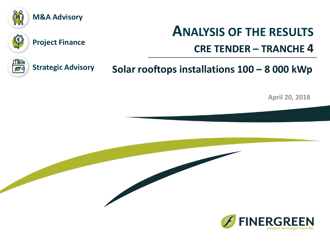

## **M&A Advisory**



## **Project Finance**

# **ANALYSIS OF THE RESULTS**

## **CRE TENDER – TRANCHE 4**



**Strategic Advisory**

## **Solar rooftops installations 100 – 8 000 kWp**

**April 20, 2018**

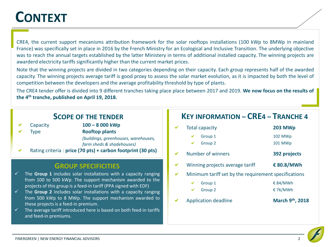# **CONTEXT**

CRE4, the current support mecanisms attribution framework for the solar rooftops installations (100 kWp to 8MWp in mainland France) was specifically set in place in 2016 by the French Ministry for an Ecological and Inclusive Transition. The underlying objective was to reach the annual targets established by the latter Ministery in terms of additional installed capacity. The winning projects are awarderd electricity tariffs significantly higher than the current market prices.

Note that the winning projects are divided in two categories depending on their capacity. Each group represents half of the awarded capacity. The winning projects average tariff is good proxy to assess the solar market evolution, as it is impacted by both the level of competition between the developers and the average profitability threshold by type of plants.

The CRE4 tender offer is divided into 9 different tranches taking place place between 2017 and 2019. **We now focus on the results of the 4 th tranche, published on April 19, 2018.**

## **SCOPE OF THE TENDER**

- Capacity **100 – 8 000 kWp**
- 

Type **Rooftop plants**

*(buildings, greenhouses, warehouses, farm sheds & shadehouses)*

Rating criteria : **price (70 pts) + carbon footprint (30 pts)**  $\checkmark$ 

### **GROUP SPECIFICITIES**

- ✓ The **Group 1** includes solar installations with a capacity ranging from 100 to 500 kWp. The support mechanism awarded to the projects of this group is a feed-in tariff (PPA signed with EDF)
- ✓ The **Group 2** includes solar installations with a capacity ranging from 500 kWp to 8 MWp. The support mechanism awarded to these projects is a feed-in premium.
- $\checkmark$  The average tariff introduced here is based on both feed-in tariffs and feed-in premiums.

## **KEY INFORMATION – CRE4 – TRANCHE 4**

Total capacity **203 MWp** Group 1 102 MWp Group 2 101 MWp Number of winners **392 projects**  $\checkmark$ Winning projects average tariff **€ 80.8/MWh** Minimum tariff set by the requirement specifications Group 1  $\epsilon$  84/MWh Group 2  $\epsilon$  76/MWh Application deadline **March 9th, 2018**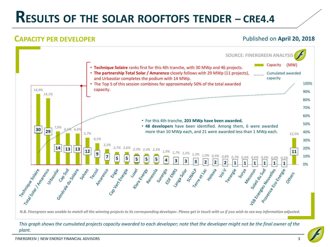# **RESULTS OF THE SOLAR ROOFTOFS TENDER – CRE4.4**

## **CAPACITY PER DEVELOPER CAPACITY PER DEVELOPER Published on April 20, 2018**



#### *This graph shows the cumulated projects capacity awarded to each developer; note that the developer might not be the final owner of the plant.*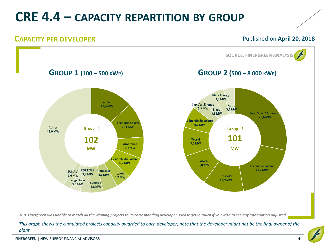# **CRE 4.4 – CAPACITY REPARTITION BY GROUP**

## **CAPACITY PER DEVELOPER CAPACITY PER DEVELOPER Published on April 20, 2018**



*This graph shows the cumulated projects capacity awarded to each developer; note that the developer might not be the final owner of the plant.*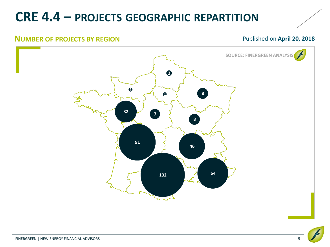# **CRE 4.4 – PROJECTS GEOGRAPHIC REPARTITION**

#### **NUMBER OF PROJECTS BY REGION CONTROLLER AND PUBLISHED APRIL 20, 2018**

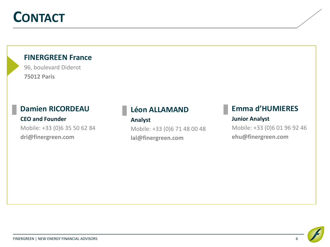# **CONTACT**

### **FINERGREEN France**

96, boulevard Diderot **75012 Paris**

## **Damien RICORDEAU**

**CEO and Founder** Mobile: +33 (0)6 35 50 62 84

**dri@finergreen.com**

## **Léon ALLAMAND**

#### **Analyst**

Mobile: +33 (0)6 71 48 00 48 **lal@finergreen.com**

## **Emma d'HUMIERES Junior Analyst**

Mobile: +33 (0)6 01 96 92 46 **ehu@finergreen.com**